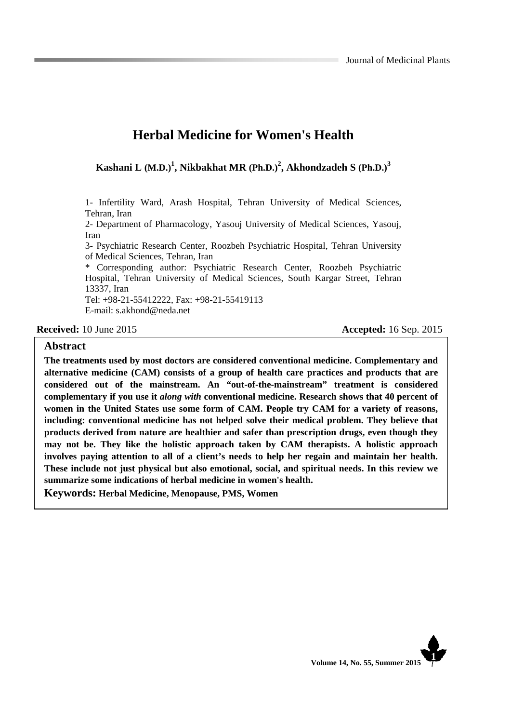# **Herbal Medicine for Women's Health**

**Kashani L (M.D.)1 , Nikbakhat MR (Ph.D.)<sup>2</sup> , Akhondzadeh S (Ph.D.)<sup>3</sup>**

1- Infertility Ward, Arash Hospital, Tehran University of Medical Sciences, Tehran, Iran

2- Department of Pharmacology, Yasouj University of Medical Sciences, Yasouj, Iran

3- Psychiatric Research Center, Roozbeh Psychiatric Hospital, Tehran University of Medical Sciences, Tehran, Iran

\* Corresponding author: Psychiatric Research Center, Roozbeh Psychiatric Hospital, Tehran University of Medical Sciences, South Kargar Street, Tehran 13337, Iran Tel: +98-21-55412222, Fax: +98-21-55419113

E-mail: s.akhond@neda.net

**Received:** 10 June 2015 **Accepted:** 16 Sep. 2015

#### **Abstract**

**The treatments used by most doctors are considered conventional medicine. Complementary and alternative medicine (CAM) consists of a group of health care practices and products that are considered out of the mainstream. An "out-of-the-mainstream" treatment is considered complementary if you use it** *along with* **conventional medicine. Research shows that 40 percent of women in the United States use some form of CAM. People try CAM for a variety of reasons, including: conventional medicine has not helped solve their medical problem. They believe that products derived from nature are healthier and safer than prescription drugs, even though they may not be. They like the holistic approach taken by CAM therapists. A holistic approach involves paying attention to all of a client's needs to help her regain and maintain her health. These include not just physical but also emotional, social, and spiritual needs. In this review we summarize some indications of herbal medicine in women's health.**

**Keywords: Herbal Medicine, Menopause, PMS, Women**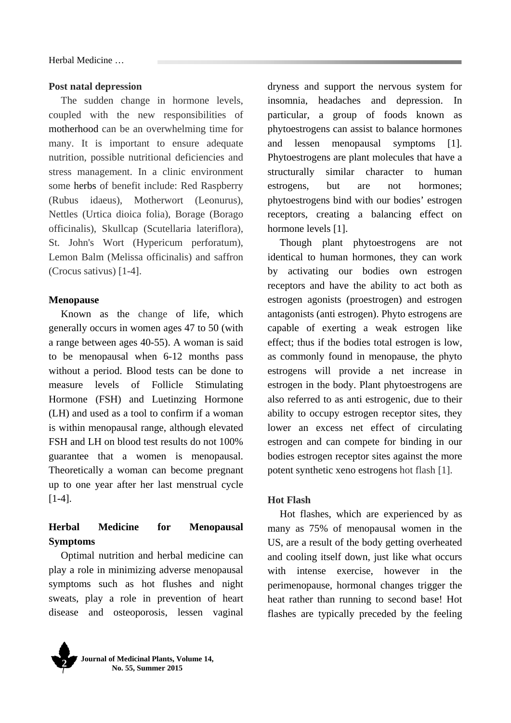Herbal Medicine …

#### **Post natal depression**

The sudden change in hormone levels, coupled with the new responsibilities of motherhood can be an overwhelming time for many. It is important to ensure adequate nutrition, possible nutritional deficiencies and stress management. In a clinic environment some herbs of benefit include: Red Raspberry (Rubus idaeus), Motherwort (Leonurus), Nettles (Urtica dioica folia), Borage (Borago officinalis), Skullcap (Scutellaria lateriflora), St. John's Wort (Hypericum perforatum), Lemon Balm (Melissa officinalis) and saffron (Crocus sativus) [1-4].

### **Menopause**

Known as the change of life, which generally occurs in women ages 47 to 50 (with a range between ages 40-55). A woman is said to be menopausal when 6-12 months pass without a period. Blood tests can be done to measure levels of Follicle Stimulating Hormone (FSH) and Luetinzing Hormone (LH) and used as a tool to confirm if a woman is within menopausal range, although elevated FSH and LH on blood test results do not 100% guarantee that a women is menopausal. Theoretically a woman can become pregnant up to one year after her last menstrual cycle [1-4].

## **Herbal Medicine for Menopausal Symptoms**

Optimal nutrition and herbal medicine can play a role in minimizing adverse menopausal symptoms such as hot flushes and night sweats, play a role in prevention of heart disease and osteoporosis, lessen vaginal dryness and support the nervous system for insomnia, headaches and depression. In particular, a group of foods known as phytoestrogens can assist to balance hormones and lessen menopausal symptoms [1]. Phytoestrogens are plant molecules that have a structurally similar character to human estrogens, but are not hormones; phytoestrogens bind with our bodies' estrogen receptors, creating a balancing effect on hormone levels [1].

Though plant phytoestrogens are not identical to human hormones, they can work by activating our bodies own estrogen receptors and have the ability to act both as estrogen agonists (proestrogen) and estrogen antagonists (anti estrogen). Phyto estrogens are capable of exerting a weak estrogen like effect; thus if the bodies total estrogen is low, as commonly found in menopause, the phyto estrogens will provide a net increase in estrogen in the body. Plant phytoestrogens are also referred to as anti estrogenic, due to their ability to occupy estrogen receptor sites, they lower an excess net effect of circulating estrogen and can compete for binding in our bodies estrogen receptor sites against the more potent synthetic xeno estrogens hot flash [1].

### **Hot Flash**

Hot flashes, which are experienced by as many as 75% of menopausal women in the US, are a result of the body getting overheated and cooling itself down, just like what occurs with intense exercise, however in the perimenopause, hormonal changes trigger the heat rather than running to second base! Hot flashes are typically preceded by the feeling

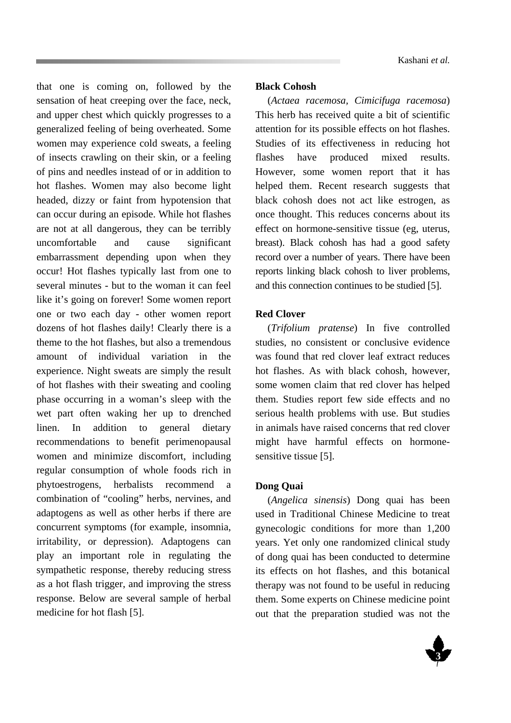that one is coming on, followed by the sensation of heat creeping over the face, neck, and upper chest which quickly progresses to a generalized feeling of being overheated. Some women may experience cold sweats, a feeling of insects crawling on their skin, or a feeling of pins and needles instead of or in addition to hot flashes. Women may also become light headed, dizzy or faint from hypotension that can occur during an episode. While hot flashes are not at all dangerous, they can be terribly uncomfortable and cause significant embarrassment depending upon when they occur! Hot flashes typically last from one to several minutes - but to the woman it can feel like it's going on forever! Some women report one or two each day - other women report dozens of hot flashes daily! Clearly there is a theme to the hot flashes, but also a tremendous amount of individual variation in the experience. Night sweats are simply the result of hot flashes with their sweating and cooling phase occurring in a woman's sleep with the wet part often waking her up to drenched linen. In addition to general dietary recommendations to benefit perimenopausal women and minimize discomfort, including regular consumption of whole foods rich in phytoestrogens, herbalists recommend a combination of "cooling" herbs, nervines, and adaptogens as well as other herbs if there are concurrent symptoms (for example, insomnia, irritability, or depression). Adaptogens can play an important role in regulating the sympathetic response, thereby reducing stress as a hot flash trigger, and improving the stress response. Below are several sample of herbal medicine for hot flash [5].

### **Black Cohosh**

(*Actaea racemosa, Cimicifuga racemosa*) This herb has received quite a bit of scientific attention for its possible effects on hot flashes. Studies of its effectiveness in reducing hot flashes have produced mixed results. However, some women report that it has helped them. Recent research suggests that black cohosh does not act like estrogen, as once thought. This reduces concerns about its effect on hormone-sensitive tissue (eg, uterus, breast). Black cohosh has had a good safety record over a number of years. There have been reports linking black cohosh to liver problems, and this connection continues to be studied [5].

### **Red Clover**

(*Trifolium pratense*) In five controlled studies, no consistent or conclusive evidence was found that red clover leaf extract reduces hot flashes. As with black cohosh, however, some women claim that red clover has helped them. Studies report few side effects and no serious health problems with use. But studies in animals have raised concerns that red clover might have harmful effects on hormonesensitive tissue [5].

### **Dong Quai**

(*Angelica sinensis*) Dong quai has been used in Traditional Chinese Medicine to treat gynecologic conditions for more than 1,200 years. Yet only one randomized clinical study of dong quai has been conducted to determine its effects on hot flashes, and this botanical therapy was not found to be useful in reducing them. Some experts on Chinese medicine point out that the preparation studied was not the

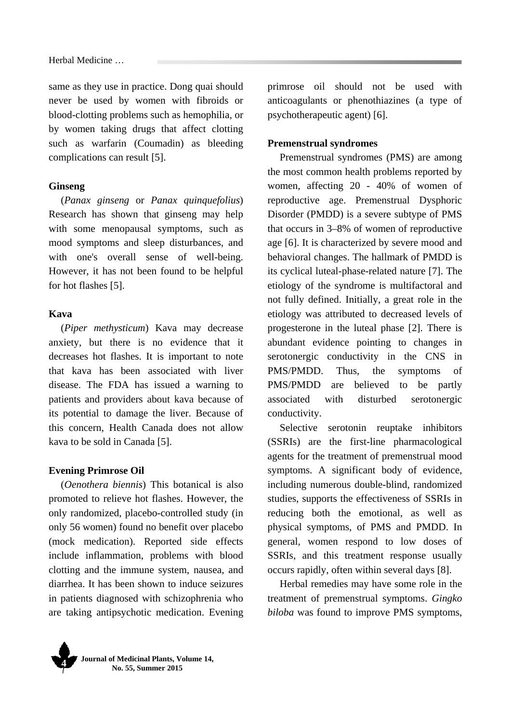same as they use in practice. Dong quai should never be used by women with fibroids or blood-clotting problems such as hemophilia, or by women taking drugs that affect clotting such as warfarin (Coumadin) as bleeding complications can result [5].

### **Ginseng**

(*Panax ginseng* or *Panax quinquefolius*) Research has shown that ginseng may help with some menopausal symptoms, such as mood symptoms and sleep disturbances, and with one's overall sense of well-being. However, it has not been found to be helpful for hot flashes [5].

#### **Kava**

(*Piper methysticum*) Kava may decrease anxiety, but there is no evidence that it decreases hot flashes. It is important to note that kava has been associated with liver disease. The FDA has issued a warning to patients and providers about kava because of its potential to damage the liver. Because of this concern, Health Canada does not allow kava to be sold in Canada [5].

#### **Evening Primrose Oil**

(*Oenothera biennis*) This botanical is also promoted to relieve hot flashes. However, the only randomized, placebo-controlled study (in only 56 women) found no benefit over placebo (mock medication). Reported side effects include inflammation, problems with blood clotting and the immune system, nausea, and diarrhea. It has been shown to induce seizures in patients diagnosed with schizophrenia who are taking antipsychotic medication. Evening primrose oil should not be used with anticoagulants or phenothiazines (a type of psychotherapeutic agent) [6].

### **Premenstrual syndromes**

Premenstrual syndromes (PMS) are among the most common health problems reported by women, affecting 20 - 40% of women of reproductive age. Premenstrual Dysphoric Disorder (PMDD) is a severe subtype of PMS that occurs in 3–8% of women of reproductive age [6]. It is characterized by severe mood and behavioral changes. The hallmark of PMDD is its cyclical luteal-phase-related nature [7]. The etiology of the syndrome is multifactoral and not fully defined. Initially, a great role in the etiology was attributed to decreased levels of progesterone in the luteal phase [2]. There is abundant evidence pointing to changes in serotonergic conductivity in the CNS in PMS/PMDD. Thus, the symptoms of PMS/PMDD are believed to be partly associated with disturbed serotonergic conductivity.

Selective serotonin reuptake inhibitors (SSRIs) are the first-line pharmacological agents for the treatment of premenstrual mood symptoms. A significant body of evidence, including numerous double-blind, randomized studies, supports the effectiveness of SSRIs in reducing both the emotional, as well as physical symptoms, of PMS and PMDD. In general, women respond to low doses of SSRIs, and this treatment response usually occurs rapidly, often within several days [8].

Herbal remedies may have some role in the treatment of premenstrual symptoms. *Gingko biloba* was found to improve PMS symptoms,

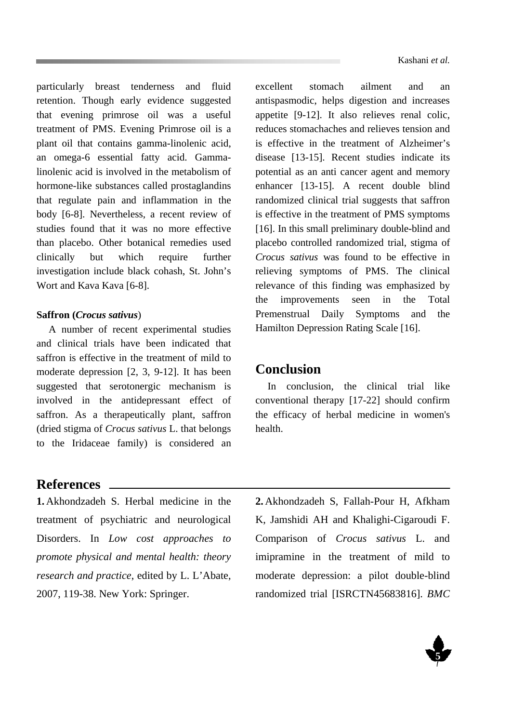particularly breast tenderness and fluid retention. Though early evidence suggested that evening primrose oil was a useful treatment of PMS. Evening Primrose oil is a plant oil that contains gamma-linolenic acid, an omega-6 essential fatty acid. Gammalinolenic acid is involved in the metabolism of hormone-like substances called prostaglandins that regulate pain and inflammation in the body [6-8]. Nevertheless, a recent review of studies found that it was no more effective than placebo. Other botanical remedies used clinically but which require further investigation include black cohash, St. John's Wort and Kava Kava [6-8].

### **Saffron (***Crocus sativus*)

A number of recent experimental studies and clinical trials have been indicated that saffron is effective in the treatment of mild to moderate depression [2, 3, 9-12]. It has been suggested that serotonergic mechanism is involved in the antidepressant effect of saffron. As a therapeutically plant, saffron (dried stigma of *Crocus sativus* L. that belongs to the Iridaceae family) is considered an

excellent stomach ailment and an antispasmodic, helps digestion and increases appetite [9-12]. It also relieves renal colic, reduces stomachaches and relieves tension and is effective in the treatment of Alzheimer's disease [13-15]. Recent studies indicate its potential as an anti cancer agent and memory enhancer [13-15]. A recent double blind randomized clinical trial suggests that saffron is effective in the treatment of PMS symptoms [16]. In this small preliminary double-blind and placebo controlled randomized trial, stigma of *Crocus sativus* was found to be effective in relieving symptoms of PMS. The clinical relevance of this finding was emphasized by the improvements seen in the Total Premenstrual Daily Symptoms and the Hamilton Depression Rating Scale [16].

# **Conclusion**

In conclusion, the clinical trial like conventional therapy [17-22] should confirm the efficacy of herbal medicine in women's health.

### **References**

**1.** Akhondzadeh S. Herbal medicine in the treatment of psychiatric and neurological Disorders. In *Low cost approaches to promote physical and mental health: theory research and practice*, edited by L. L'Abate, 2007, 119-38. New York: Springer.

**2.** Akhondzadeh S, Fallah-Pour H, Afkham K, Jamshidi AH and Khalighi-Cigaroudi F. Comparison of *Crocus sativus* L. and imipramine in the treatment of mild to moderate depression: a pilot double-blind randomized trial [ISRCTN45683816]. *BMC* 

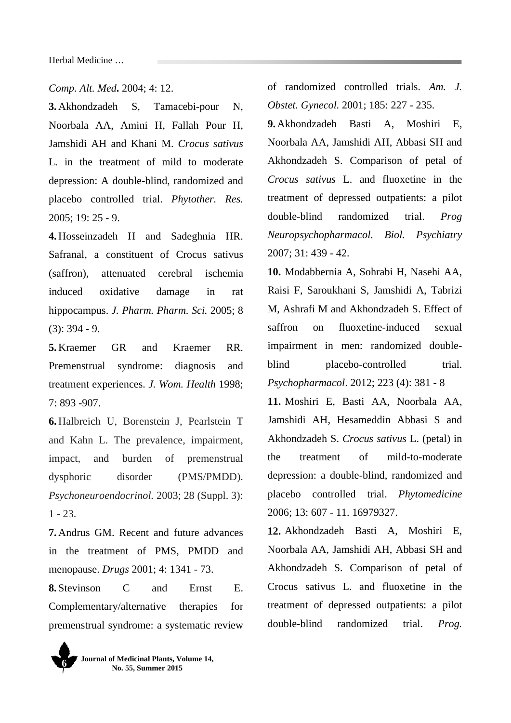Herbal Medicine …

*Comp. Alt. Med***.** 2004; 4: 12.

**3.** Akhondzadeh S, Tamacebi-pour N, Noorbala AA, Amini H, Fallah Pour H, Jamshidi AH and Khani M. *Crocus sativus*  L*.* in the treatment of mild to moderate depression: A double-blind, randomized and placebo controlled trial. *Phytother. Res.*  2005; 19: 25 - 9.

**4.** Hosseinzadeh H and Sadeghnia HR. Safranal, a constituent of Crocus sativus (saffron), attenuated cerebral ischemia induced oxidative damage in rat hippocampus. *J. Pharm. Pharm. Sci.* 2005; 8 (3): 394 - 9.

**5.** Kraemer GR and Kraemer RR. Premenstrual syndrome: diagnosis and treatment experiences. *J. Wom. Health* 1998; 7: 893 -907.

**6.** Halbreich U, Borenstein J, Pearlstein T and Kahn L. The prevalence, impairment, impact, and burden of premenstrual dysphoric disorder (PMS/PMDD). *Psychoneuroendocrinol.* 2003; 28 (Suppl. 3):  $1 - 23$ 

**7.** Andrus GM. Recent and future advances in the treatment of PMS, PMDD and menopause. *Drugs* 2001; 4: 1341 - 73.

**8.** Stevinson C and Ernst E. Complementary/alternative therapies for premenstrual syndrome: a systematic review



of randomized controlled trials. *Am. J. Obstet. Gynecol.* 2001; 185: 227 - 235.

**9.** Akhondzadeh Basti A, Moshiri E, Noorbala AA, Jamshidi AH, Abbasi SH and Akhondzadeh S. Comparison of petal of *Crocus sativus* L. and fluoxetine in the treatment of depressed outpatients: a pilot double-blind randomized trial. *Prog Neuropsychopharmacol. Biol. Psychiatry* 2007; 31: 439 - 42.

**10.** Modabbernia A, Sohrabi H, Nasehi AA, Raisi F, Saroukhani S, Jamshidi A, Tabrizi M, Ashrafi M and Akhondzadeh S. Effect of saffron on fluoxetine-induced sexual impairment in men: randomized doubleblind placebo-controlled trial. *Psychopharmacol*. 2012; 223 (4): 381 - 8

**11.** Moshiri E, Basti AA, Noorbala AA, Jamshidi AH, Hesameddin Abbasi S and Akhondzadeh S. *Crocus sativus* L. (petal) in the treatment of mild-to-moderate depression: a double-blind, randomized and placebo controlled trial. *Phytomedicine*  2006; 13: 607 - 11. 16979327.

**12.** Akhondzadeh Basti A, Moshiri E, Noorbala AA, Jamshidi AH, Abbasi SH and Akhondzadeh S. Comparison of petal of Crocus sativus L. and fluoxetine in the treatment of depressed outpatients: a pilot double-blind randomized trial. *Prog.*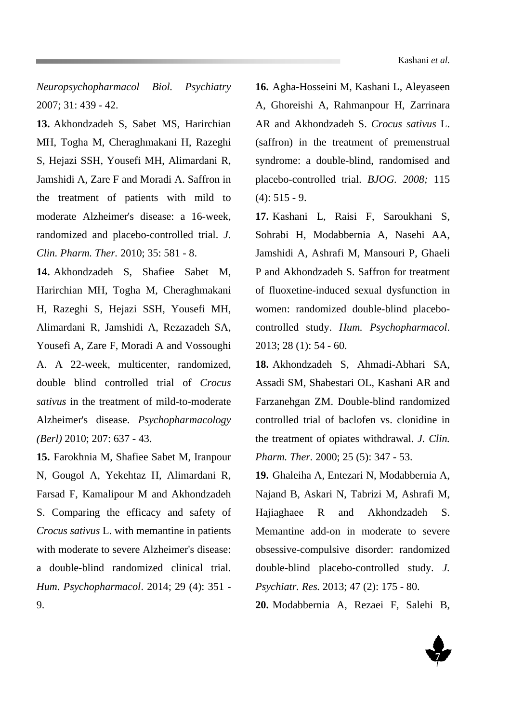*Neuropsychopharmacol Biol. Psychiatry* 2007; 31: 439 - 42.

**13.** Akhondzadeh S, Sabet MS, Harirchian MH, Togha M, Cheraghmakani H, Razeghi S, Hejazi SSH, Yousefi MH, Alimardani R, Jamshidi A, Zare F and Moradi A. Saffron in the treatment of patients with mild to moderate Alzheimer's disease: a 16-week, randomized and placebo-controlled trial. *J. Clin. Pharm. Ther.* 2010; 35: 581 - 8.

**14.** Akhondzadeh S, Shafiee Sabet M, Harirchian MH, Togha M, Cheraghmakani H, Razeghi S, Hejazi SSH, Yousefi MH, Alimardani R, Jamshidi A, Rezazadeh SA, Yousefi A, Zare F, Moradi A and Vossoughi A. A 22-week, multicenter, randomized, double blind controlled trial of *Crocus sativus* in the treatment of mild-to-moderate Alzheimer's disease. *Psychopharmacology (Berl)* 2010; 207: 637 - 43.

**15.** Farokhnia M, Shafiee Sabet M, Iranpour N, Gougol A, Yekehtaz H, Alimardani R, Farsad F, Kamalipour M and Akhondzadeh S. Comparing the efficacy and safety of *Crocus sativus* L. with memantine in patients with moderate to severe Alzheimer's disease: a double-blind randomized clinical trial*. Hum. Psychopharmacol*. 2014; 29 (4): 351 - 9.

**16.** Agha-Hosseini M, Kashani L, Aleyaseen A, Ghoreishi A, Rahmanpour H, Zarrinara AR and Akhondzadeh S. *Crocus sativus* L. (saffron) in the treatment of premenstrual syndrome: a double-blind, randomised and placebo-controlled trial. *BJOG. 2008;* 115  $(4): 515 - 9.$ 

**17.** Kashani L, Raisi F, Saroukhani S, Sohrabi H, Modabbernia A, Nasehi AA, Jamshidi A, Ashrafi M, Mansouri P, Ghaeli P and Akhondzadeh S. Saffron for treatment of fluoxetine-induced sexual dysfunction in women: randomized double-blind placebocontrolled study. *Hum. Psychopharmacol*. 2013; 28 (1): 54 - 60.

**18.** Akhondzadeh S, Ahmadi-Abhari SA, Assadi SM, Shabestari OL, Kashani AR and Farzanehgan ZM. Double-blind randomized controlled trial of baclofen vs. clonidine in the treatment of opiates withdrawal. *J. Clin. Pharm. Ther.* 2000; 25 (5): 347 - 53.

**19.** Ghaleiha A, Entezari N, Modabbernia A, Najand B, Askari N, Tabrizi M, Ashrafi M, Hajiaghaee R and Akhondzadeh S. Memantine add-on in moderate to severe obsessive-compulsive disorder: randomized double-blind placebo-controlled study. *J. Psychiatr. Res.* 2013; 47 (2): 175 - 80.

**20.** Modabbernia A, Rezaei F, Salehi B,